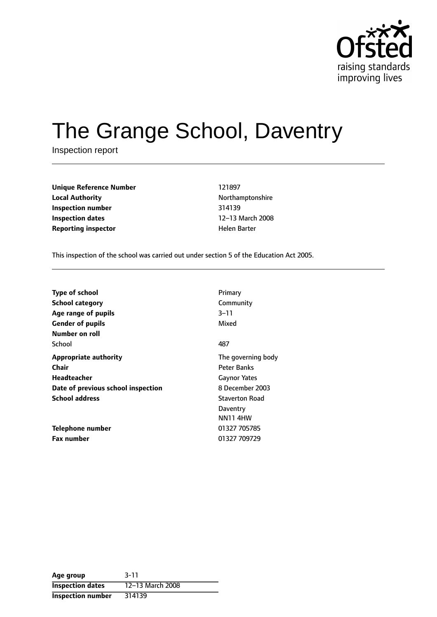

# The Grange School, Daventry

Inspection report

| Unique Reference Number    | 121897       |
|----------------------------|--------------|
| <b>Local Authority</b>     | Northampton  |
| Inspection number          | 314139       |
| Inspection dates           | 12–13 March  |
| <b>Reporting inspector</b> | Helen Barter |

**Unique Reference Number** 121897 **Local Authority** Northamptonshire **Inspection number** 314139 12-13 March 2008

This inspection of the school was carried out under section 5 of the Education Act 2005.

| <b>Type of school</b>              | Primary               |
|------------------------------------|-----------------------|
| <b>School category</b>             | Community             |
| Age range of pupils                | 3–11                  |
| <b>Gender of pupils</b>            | Mixed                 |
| Number on roll                     |                       |
| School                             | 487                   |
| <b>Appropriate authority</b>       | The governing body    |
| Chair                              | Peter Banks           |
| Headteacher                        | <b>Gaynor Yates</b>   |
| Date of previous school inspection | 8 December 2003       |
| <b>School address</b>              | <b>Staverton Road</b> |
|                                    | Daventry              |
|                                    | <b>NN11 4HW</b>       |
| Telephone number                   | 01327 705785          |
| <b>Fax number</b>                  | 01327 709729          |

| Age group                | $3 - 11$         |
|--------------------------|------------------|
| <b>Inspection dates</b>  | 12-13 March 2008 |
| <b>Inspection number</b> | 314139           |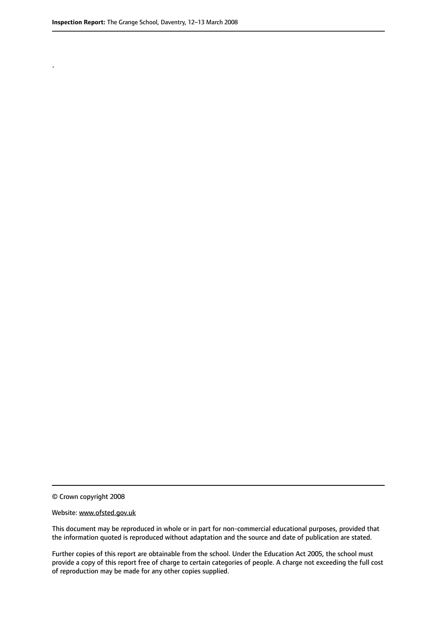.

© Crown copyright 2008

#### Website: www.ofsted.gov.uk

This document may be reproduced in whole or in part for non-commercial educational purposes, provided that the information quoted is reproduced without adaptation and the source and date of publication are stated.

Further copies of this report are obtainable from the school. Under the Education Act 2005, the school must provide a copy of this report free of charge to certain categories of people. A charge not exceeding the full cost of reproduction may be made for any other copies supplied.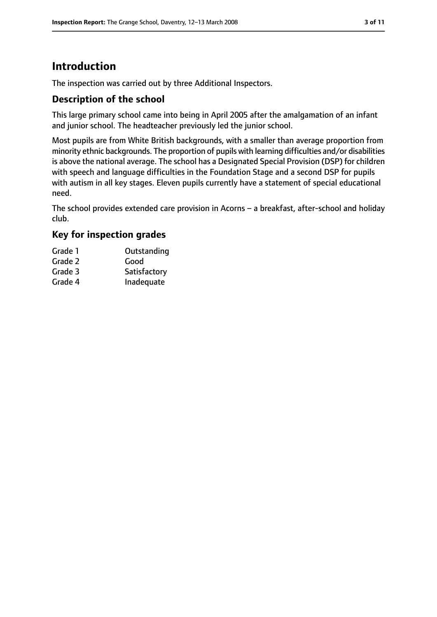# **Introduction**

The inspection was carried out by three Additional Inspectors.

#### **Description of the school**

This large primary school came into being in April 2005 after the amalgamation of an infant and junior school. The headteacher previously led the junior school.

Most pupils are from White British backgrounds, with a smaller than average proportion from minority ethnic backgrounds. The proportion of pupils with learning difficulties and/or disabilities is above the national average. The school has a Designated Special Provision (DSP) for children with speech and language difficulties in the Foundation Stage and a second DSP for pupils with autism in all key stages. Eleven pupils currently have a statement of special educational need.

The school provides extended care provision in Acorns  $-$  a breakfast, after-school and holiday club.

#### **Key for inspection grades**

| Grade 1 | Outstanding  |
|---------|--------------|
| Grade 2 | Good         |
| Grade 3 | Satisfactory |
| Grade 4 | Inadequate   |
|         |              |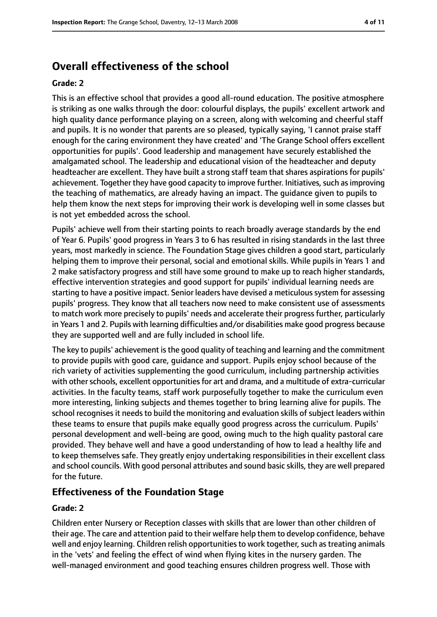# **Overall effectiveness of the school**

#### **Grade: 2**

This is an effective school that provides a good all-round education. The positive atmosphere is striking as one walks through the door: colourful displays, the pupils' excellent artwork and high quality dance performance playing on a screen, along with welcoming and cheerful staff and pupils. It is no wonder that parents are so pleased, typically saying, 'I cannot praise staff enough for the caring environment they have created' and 'The Grange School offers excellent opportunities for pupils'. Good leadership and management have securely established the amalgamated school. The leadership and educational vision of the headteacher and deputy headteacher are excellent. They have built a strong staff team that shares aspirations for pupils' achievement. Together they have good capacity to improve further. Initiatives, such as improving the teaching of mathematics, are already having an impact. The guidance given to pupils to help them know the next steps for improving their work is developing well in some classes but is not yet embedded across the school.

Pupils' achieve well from their starting points to reach broadly average standards by the end of Year 6. Pupils' good progress in Years 3 to 6 has resulted in rising standards in the last three years, most markedly in science. The Foundation Stage gives children a good start, particularly helping them to improve their personal, social and emotional skills. While pupils in Years 1 and 2 make satisfactory progress and still have some ground to make up to reach higher standards, effective intervention strategies and good support for pupils' individual learning needs are starting to have a positive impact. Senior leaders have devised a meticuloussystem for assessing pupils' progress. They know that all teachers now need to make consistent use of assessments to match work more precisely to pupils' needs and accelerate their progress further, particularly in Years 1 and 2. Pupils with learning difficulties and/or disabilities make good progress because they are supported well and are fully included in school life.

The key to pupils' achievement is the good quality of teaching and learning and the commitment to provide pupils with good care, guidance and support. Pupils enjoy school because of the rich variety of activities supplementing the good curriculum, including partnership activities with other schools, excellent opportunities for art and drama, and a multitude of extra-curricular activities. In the faculty teams, staff work purposefully together to make the curriculum even more interesting, linking subjects and themes together to bring learning alive for pupils. The school recognises it needs to build the monitoring and evaluation skills of subject leaders within these teams to ensure that pupils make equally good progress across the curriculum. Pupils' personal development and well-being are good, owing much to the high quality pastoral care provided. They behave well and have a good understanding of how to lead a healthy life and to keep themselves safe. They greatly enjoy undertaking responsibilities in their excellent class and school councils. With good personal attributes and sound basic skills, they are well prepared for the future.

#### **Effectiveness of the Foundation Stage**

#### **Grade: 2**

Children enter Nursery or Reception classes with skills that are lower than other children of their age. The care and attention paid to their welfare help them to develop confidence, behave well and enjoy learning. Children relish opportunities to work together, such as treating animals in the 'vets' and feeling the effect of wind when flying kites in the nursery garden. The well-managed environment and good teaching ensures children progress well. Those with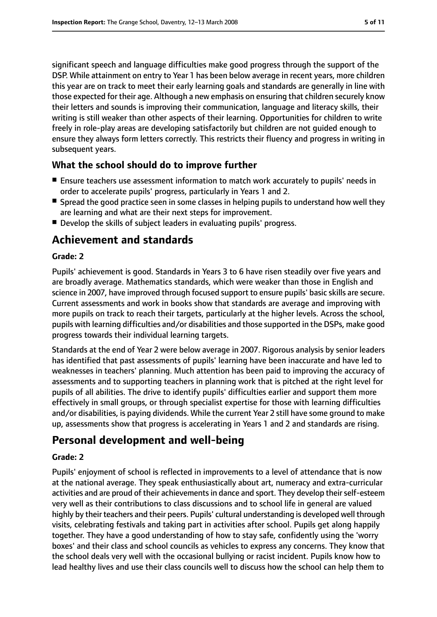significant speech and language difficulties make good progress through the support of the DSP. While attainment on entry to Year 1 has been below average in recent years, more children this year are on track to meet their early learning goals and standards are generally in line with those expected for their age. Although a new emphasis on ensuring that children securely know their letters and sounds is improving their communication, language and literacy skills, their writing is still weaker than other aspects of their learning. Opportunities for children to write freely in role-play areas are developing satisfactorily but children are not guided enough to ensure they always form letters correctly. This restricts their fluency and progress in writing in subsequent years.

#### **What the school should do to improve further**

- Ensure teachers use assessment information to match work accurately to pupils' needs in order to accelerate pupils' progress, particularly in Years 1 and 2.
- Spread the good practice seen in some classes in helping pupils to understand how well they are learning and what are their next steps for improvement.
- Develop the skills of subject leaders in evaluating pupils' progress.

# **Achievement and standards**

#### **Grade: 2**

Pupils' achievement is good. Standards in Years 3 to 6 have risen steadily over five years and are broadly average. Mathematics standards, which were weaker than those in English and science in 2007, have improved through focused support to ensure pupils' basic skills are secure. Current assessments and work in books show that standards are average and improving with more pupils on track to reach their targets, particularly at the higher levels. Across the school, pupils with learning difficulties and/or disabilities and those supported in the DSPs, make good progress towards their individual learning targets.

Standards at the end of Year 2 were below average in 2007. Rigorous analysis by senior leaders has identified that past assessments of pupils' learning have been inaccurate and have led to weaknesses in teachers' planning. Much attention has been paid to improving the accuracy of assessments and to supporting teachers in planning work that is pitched at the right level for pupils of all abilities. The drive to identify pupils' difficulties earlier and support them more effectively in small groups, or through specialist expertise for those with learning difficulties and/or disabilities, is paying dividends. While the current Year 2 still have some ground to make up, assessments show that progress is accelerating in Years 1 and 2 and standards are rising.

# **Personal development and well-being**

#### **Grade: 2**

Pupils' enjoyment of school is reflected in improvements to a level of attendance that is now at the national average. They speak enthusiastically about art, numeracy and extra-curricular activities and are proud of their achievements in dance and sport. They develop their self-esteem very well as their contributions to class discussions and to school life in general are valued highly by their teachers and their peers. Pupils' cultural understanding is developed well through visits, celebrating festivals and taking part in activities after school. Pupils get along happily together. They have a good understanding of how to stay safe, confidently using the 'worry boxes' and their class and school councils as vehicles to express any concerns. They know that the school deals very well with the occasional bullying or racist incident. Pupils know how to lead healthy lives and use their class councils well to discuss how the school can help them to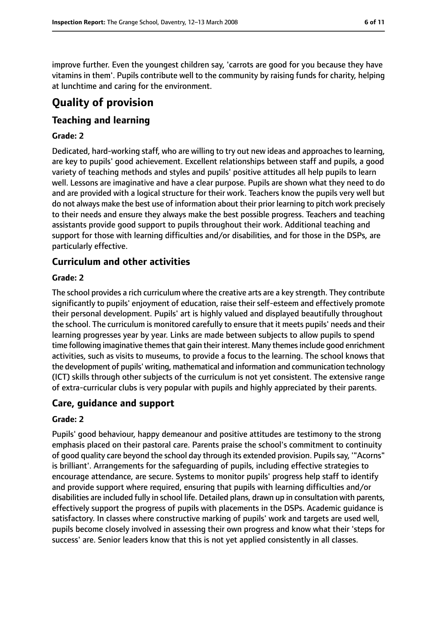improve further. Even the youngest children say, 'carrots are good for you because they have vitamins in them'. Pupils contribute well to the community by raising funds for charity, helping at lunchtime and caring for the environment.

# **Quality of provision**

#### **Teaching and learning**

#### **Grade: 2**

Dedicated, hard-working staff, who are willing to try out new ideas and approaches to learning, are key to pupils' good achievement. Excellent relationships between staff and pupils, a good variety of teaching methods and styles and pupils' positive attitudes all help pupils to learn well. Lessons are imaginative and have a clear purpose. Pupils are shown what they need to do and are provided with a logical structure for their work. Teachers know the pupils very well but do not always make the best use of information about their prior learning to pitch work precisely to their needs and ensure they always make the best possible progress. Teachers and teaching assistants provide good support to pupils throughout their work. Additional teaching and support for those with learning difficulties and/or disabilities, and for those in the DSPs, are particularly effective.

## **Curriculum and other activities**

#### **Grade: 2**

The school provides a rich curriculum where the creative arts are a key strength. They contribute significantly to pupils' enjoyment of education, raise their self-esteem and effectively promote their personal development. Pupils' art is highly valued and displayed beautifully throughout the school. The curriculum is monitored carefully to ensure that it meets pupils' needs and their learning progresses year by year. Links are made between subjects to allow pupils to spend time following imaginative themes that gain their interest. Many themes include good enrichment activities, such as visits to museums, to provide a focus to the learning. The school knows that the development of pupils' writing, mathematical and information and communication technology (ICT) skills through other subjects of the curriculum is not yet consistent. The extensive range of extra-curricular clubs is very popular with pupils and highly appreciated by their parents.

#### **Care, guidance and support**

#### **Grade: 2**

Pupils' good behaviour, happy demeanour and positive attitudes are testimony to the strong emphasis placed on their pastoral care. Parents praise the school's commitment to continuity of good quality care beyond the school day through its extended provision. Pupils say, "Acorns" is brilliant'. Arrangements for the safeguarding of pupils, including effective strategies to encourage attendance, are secure. Systems to monitor pupils' progress help staff to identify and provide support where required, ensuring that pupils with learning difficulties and/or disabilities are included fully in school life. Detailed plans, drawn up in consultation with parents, effectively support the progress of pupils with placements in the DSPs. Academic guidance is satisfactory. In classes where constructive marking of pupils' work and targets are used well, pupils become closely involved in assessing their own progress and know what their 'steps for success' are. Senior leaders know that this is not yet applied consistently in all classes.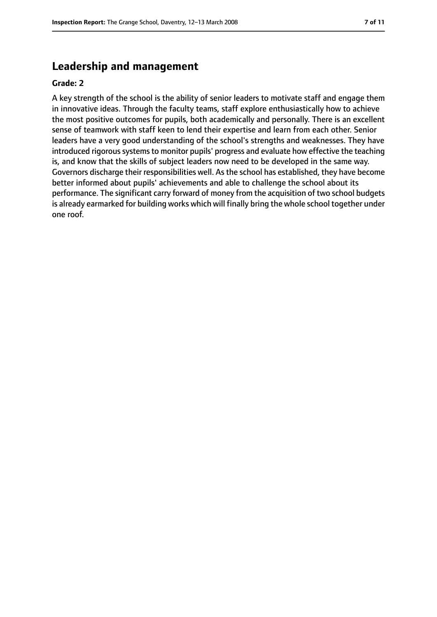# **Leadership and management**

#### **Grade: 2**

A key strength of the school is the ability of senior leaders to motivate staff and engage them in innovative ideas. Through the faculty teams, staff explore enthusiastically how to achieve the most positive outcomes for pupils, both academically and personally. There is an excellent sense of teamwork with staff keen to lend their expertise and learn from each other. Senior leaders have a very good understanding of the school's strengths and weaknesses. They have introduced rigorous systems to monitor pupils' progress and evaluate how effective the teaching is, and know that the skills of subject leaders now need to be developed in the same way. Governors discharge their responsibilities well. As the school has established, they have become better informed about pupils' achievements and able to challenge the school about its performance. The significant carry forward of money from the acquisition of two school budgets is already earmarked for building works which will finally bring the whole school together under one roof.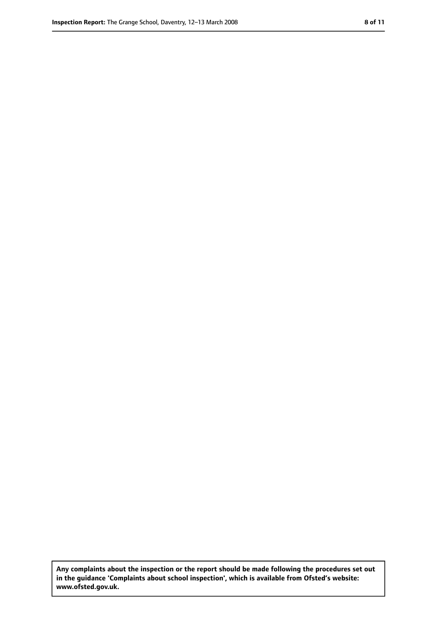**Any complaints about the inspection or the report should be made following the procedures set out in the guidance 'Complaints about school inspection', which is available from Ofsted's website: www.ofsted.gov.uk.**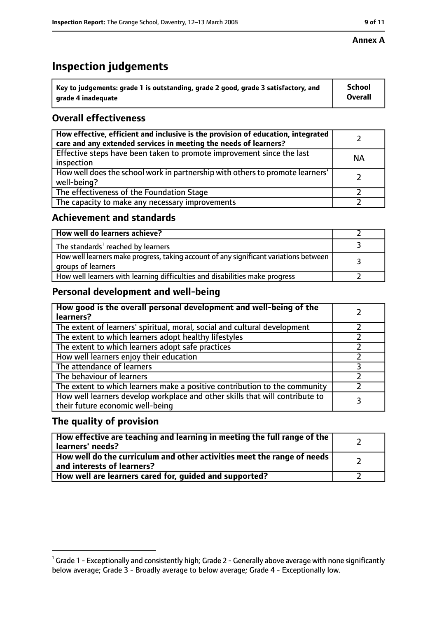#### **Annex A**

# **Inspection judgements**

| $^{\circ}$ Key to judgements: grade 1 is outstanding, grade 2 good, grade 3 satisfactory, and | <b>School</b>  |
|-----------------------------------------------------------------------------------------------|----------------|
| arade 4 inadequate                                                                            | <b>Overall</b> |

## **Overall effectiveness**

| How effective, efficient and inclusive is the provision of education, integrated<br>care and any extended services in meeting the needs of learners? |           |
|------------------------------------------------------------------------------------------------------------------------------------------------------|-----------|
| Effective steps have been taken to promote improvement since the last<br>inspection                                                                  | <b>NA</b> |
| How well does the school work in partnership with others to promote learners'<br>well-being?                                                         |           |
| The effectiveness of the Foundation Stage                                                                                                            |           |
| The capacity to make any necessary improvements                                                                                                      |           |

#### **Achievement and standards**

| How well do learners achieve?                                                                               |  |
|-------------------------------------------------------------------------------------------------------------|--|
| The standards <sup>1</sup> reached by learners                                                              |  |
| How well learners make progress, taking account of any significant variations between<br>groups of learners |  |
| How well learners with learning difficulties and disabilities make progress                                 |  |

#### **Personal development and well-being**

| How good is the overall personal development and well-being of the<br>learners?                                  |  |
|------------------------------------------------------------------------------------------------------------------|--|
| The extent of learners' spiritual, moral, social and cultural development                                        |  |
| The extent to which learners adopt healthy lifestyles                                                            |  |
| The extent to which learners adopt safe practices                                                                |  |
| How well learners enjoy their education                                                                          |  |
| The attendance of learners                                                                                       |  |
| The behaviour of learners                                                                                        |  |
| The extent to which learners make a positive contribution to the community                                       |  |
| How well learners develop workplace and other skills that will contribute to<br>their future economic well-being |  |

#### **The quality of provision**

| How effective are teaching and learning in meeting the full range of the<br>learners' needs?          |  |
|-------------------------------------------------------------------------------------------------------|--|
| How well do the curriculum and other activities meet the range of needs<br>and interests of learners? |  |
| How well are learners cared for, quided and supported?                                                |  |

 $^1$  Grade 1 - Exceptionally and consistently high; Grade 2 - Generally above average with none significantly below average; Grade 3 - Broadly average to below average; Grade 4 - Exceptionally low.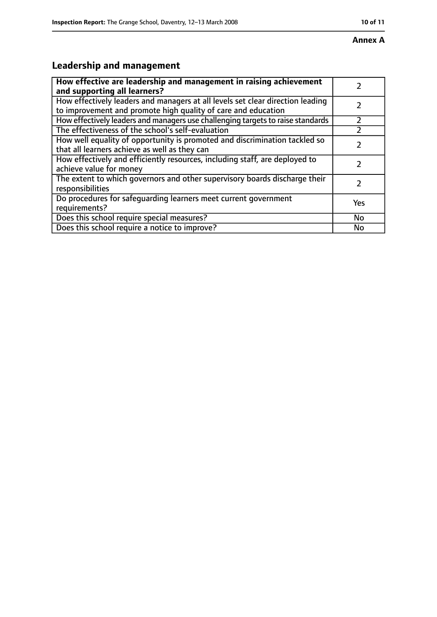# **Leadership and management**

| How effective are leadership and management in raising achievement<br>and supporting all learners?                                              |           |
|-------------------------------------------------------------------------------------------------------------------------------------------------|-----------|
| How effectively leaders and managers at all levels set clear direction leading<br>to improvement and promote high quality of care and education |           |
| How effectively leaders and managers use challenging targets to raise standards                                                                 |           |
| The effectiveness of the school's self-evaluation                                                                                               |           |
| How well equality of opportunity is promoted and discrimination tackled so<br>that all learners achieve as well as they can                     |           |
| How effectively and efficiently resources, including staff, are deployed to<br>achieve value for money                                          |           |
| The extent to which governors and other supervisory boards discharge their<br>responsibilities                                                  |           |
| Do procedures for safequarding learners meet current government<br>requirements?                                                                | Yes       |
| Does this school require special measures?                                                                                                      | <b>No</b> |
| Does this school require a notice to improve?                                                                                                   | No        |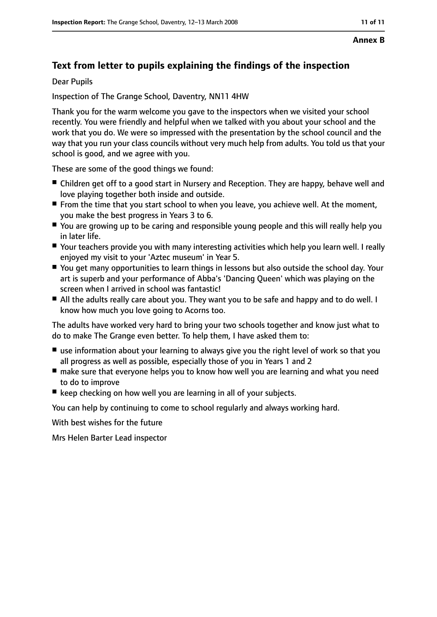#### **Annex B**

# **Text from letter to pupils explaining the findings of the inspection**

Dear Pupils

Inspection of The Grange School, Daventry, NN11 4HW

Thank you for the warm welcome you gave to the inspectors when we visited your school recently. You were friendly and helpful when we talked with you about your school and the work that you do. We were so impressed with the presentation by the school council and the way that you run your class councils without very much help from adults. You told us that your school is good, and we agree with you.

These are some of the good things we found:

- Children get off to a good start in Nursery and Reception. They are happy, behave well and love playing together both inside and outside.
- From the time that you start school to when you leave, you achieve well. At the moment, you make the best progress in Years 3 to 6.
- You are growing up to be caring and responsible young people and this will really help you in later life.
- Your teachers provide you with many interesting activities which help you learn well. I really enjoyed my visit to your 'Aztec museum' in Year 5.
- You get many opportunities to learn things in lessons but also outside the school day. Your art is superb and your performance of Abba's 'Dancing Queen' which was playing on the screen when I arrived in school was fantastic!
- All the adults really care about you. They want you to be safe and happy and to do well. I know how much you love going to Acorns too.

The adults have worked very hard to bring your two schools together and know just what to do to make The Grange even better. To help them, I have asked them to:

- use information about your learning to always give you the right level of work so that you all progress as well as possible, especially those of you in Years 1 and 2
- make sure that everyone helps you to know how well you are learning and what you need to do to improve
- keep checking on how well you are learning in all of your subjects.

You can help by continuing to come to school regularly and always working hard.

With best wishes for the future

Mrs Helen Barter Lead inspector